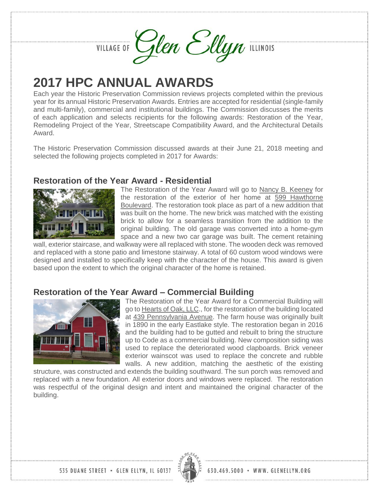VILLAGE OF Glen Ellyn ILLINOIS



Each year the Historic Preservation Commission reviews projects completed within the previous year for its annual Historic Preservation Awards. Entries are accepted for residential (single-family and multi-family), commercial and institutional buildings. The Commission discusses the merits of each application and selects recipients for the following awards: Restoration of the Year, Remodeling Project of the Year, Streetscape Compatibility Award, and the Architectural Details Award.

The Historic Preservation Commission discussed awards at their June 21, 2018 meeting and selected the following projects completed in 2017 for Awards:

## **Restoration of the Year Award - Residential**



The Restoration of the Year Award will go to Nancy B. Keeney for the restoration of the exterior of her home at 599 Hawthorne Boulevard. The restoration took place as part of a new addition that was built on the home. The new brick was matched with the existing brick to allow for a seamless transition from the addition to the original building. The old garage was converted into a home-gym space and a new two car garage was built. The cement retaining

wall, exterior staircase, and walkway were all replaced with stone. The wooden deck was removed and replaced with a stone patio and limestone stairway. A total of 60 custom wood windows were designed and installed to specifically keep with the character of the house. This award is given based upon the extent to which the original character of the home is retained.

### **Restoration of the Year Award – Commercial Building**



The Restoration of the Year Award for a Commercial Building will go to Hearts of Oak, LLC., for the restoration of the building located at 439 Pennsylvania Avenue. The farm house was originally built in 1890 in the early Eastlake style. The restoration began in 2016 and the building had to be gutted and rebuilt to bring the structure up to Code as a commercial building. New composition siding was used to replace the deteriorated wood clapboards. Brick veneer exterior wainscot was used to replace the concrete and rubble walls. A new addition, matching the aesthetic of the existing

structure, was constructed and extends the building southward. The sun porch was removed and replaced with a new foundation. All exterior doors and windows were replaced. The restoration was respectful of the original design and intent and maintained the original character of the building.

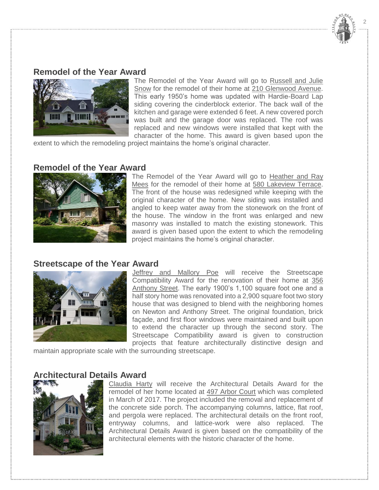

## **Remodel of the Year Award**



The Remodel of the Year Award will go to Russell and Julie Snow for the remodel of their home at 210 Glenwood Avenue. This early 1950's home was updated with Hardie-Board Lap siding covering the cinderblock exterior. The back wall of the kitchen and garage were extended 6 feet. A new covered porch was built and the garage door was replaced. The roof was replaced and new windows were installed that kept with the character of the home. This award is given based upon the

extent to which the remodeling project maintains the home's original character.

#### **Remodel of the Year Award**



The Remodel of the Year Award will go to Heather and Ray Mees for the remodel of their home at 580 Lakeview Terrace. The front of the house was redesigned while keeping with the original character of the home. New siding was installed and angled to keep water away from the stonework on the front of the house. The window in the front was enlarged and new masonry was installed to match the existing stonework. This award is given based upon the extent to which the remodeling project maintains the home's original character.

#### **Streetscape of the Year Award**



Jeffrey and Mallory Poe will receive the Streetscape Compatibility Award for the renovation of their home at 356 Anthony Street. The early 1900's 1,100 square foot one and a half story home was renovated into a 2,900 square foot two story house that was designed to blend with the neighboring homes on Newton and Anthony Street. The original foundation, brick façade, and first floor windows were maintained and built upon to extend the character up through the second story. The Streetscape Compatibility award is given to construction projects that feature architecturally distinctive design and

maintain appropriate scale with the surrounding streetscape.

#### **Architectural Details Award**



Claudia Harty will receive the Architectural Details Award for the remodel of her home located at 497 Arbor Court which was completed in March of 2017. The project included the removal and replacement of the concrete side porch. The accompanying columns, lattice, flat roof, and pergola were replaced. The architectural details on the front roof, entryway columns, and lattice-work were also replaced. The Architectural Details Award is given based on the compatibility of the architectural elements with the historic character of the home.